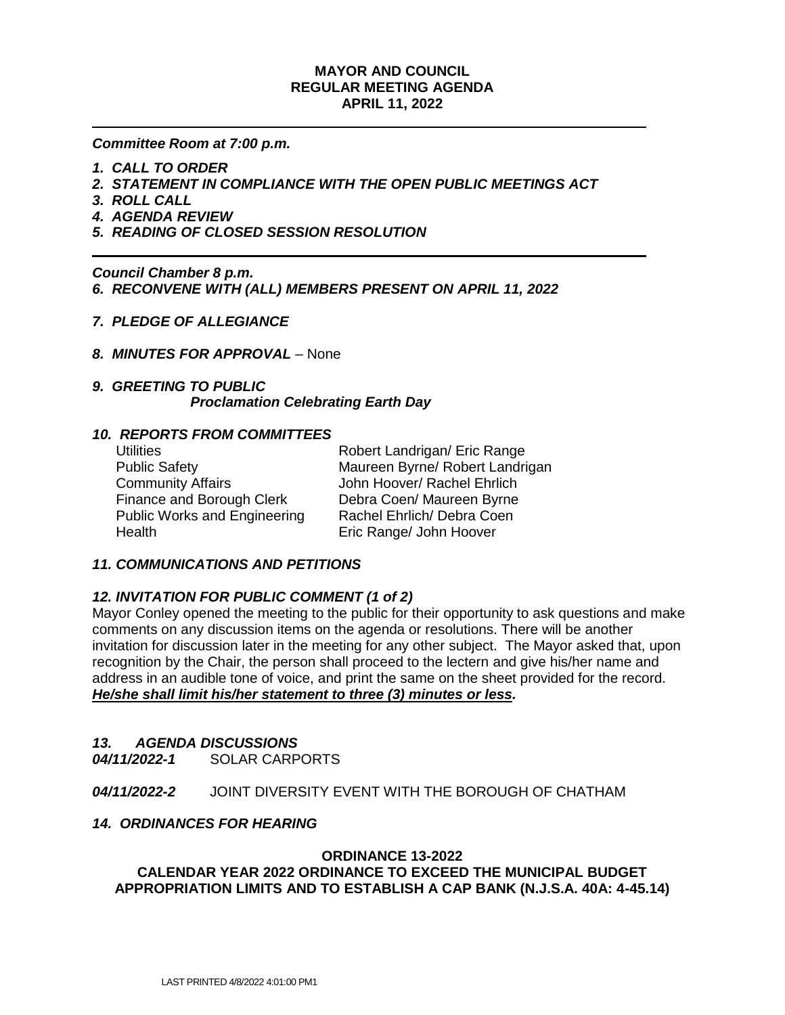# **MAYOR AND COUNCIL REGULAR MEETING AGENDA APRIL 11, 2022**

*Committee Room at 7:00 p.m.*

- *1. CALL TO ORDER*
- *2. STATEMENT IN COMPLIANCE WITH THE OPEN PUBLIC MEETINGS ACT*
- *3. ROLL CALL*
- *4. AGENDA REVIEW*
- *5. READING OF CLOSED SESSION RESOLUTION*

*Council Chamber 8 p.m. 6. RECONVENE WITH (ALL) MEMBERS PRESENT ON APRIL 11, 2022*

- *7. PLEDGE OF ALLEGIANCE*
- *8. MINUTES FOR APPROVAL* None

# *9. GREETING TO PUBLIC Proclamation Celebrating Earth Day*

## *10. REPORTS FROM COMMITTEES*

| <b>Utilities</b>                    | Robert Landrigan/ Eric Range    |
|-------------------------------------|---------------------------------|
| <b>Public Safety</b>                | Maureen Byrne/ Robert Landrigan |
| <b>Community Affairs</b>            | John Hoover/ Rachel Ehrlich     |
| Finance and Borough Clerk           | Debra Coen/ Maureen Byrne       |
| <b>Public Works and Engineering</b> | Rachel Ehrlich/ Debra Coen      |
| Health                              | Eric Range/ John Hoover         |
|                                     |                                 |

## *11. COMMUNICATIONS AND PETITIONS*

# *12. INVITATION FOR PUBLIC COMMENT (1 of 2)*

Mayor Conley opened the meeting to the public for their opportunity to ask questions and make comments on any discussion items on the agenda or resolutions. There will be another invitation for discussion later in the meeting for any other subject. The Mayor asked that, upon recognition by the Chair, the person shall proceed to the lectern and give his/her name and address in an audible tone of voice, and print the same on the sheet provided for the record. *He/she shall limit his/her statement to three (3) minutes or less.*

## *13. AGENDA DISCUSSIONS*

*04/11/2022-1*SOLAR CARPORTS

*04/11/2022-2*JOINT DIVERSITY EVENT WITH THE BOROUGH OF CHATHAM

## *14. ORDINANCES FOR HEARING*

#### **ORDINANCE 13-2022**

**CALENDAR YEAR 2022 ORDINANCE TO EXCEED THE MUNICIPAL BUDGET APPROPRIATION LIMITS AND TO ESTABLISH A CAP BANK (N.J.S.A. 40A: 4-45.14)**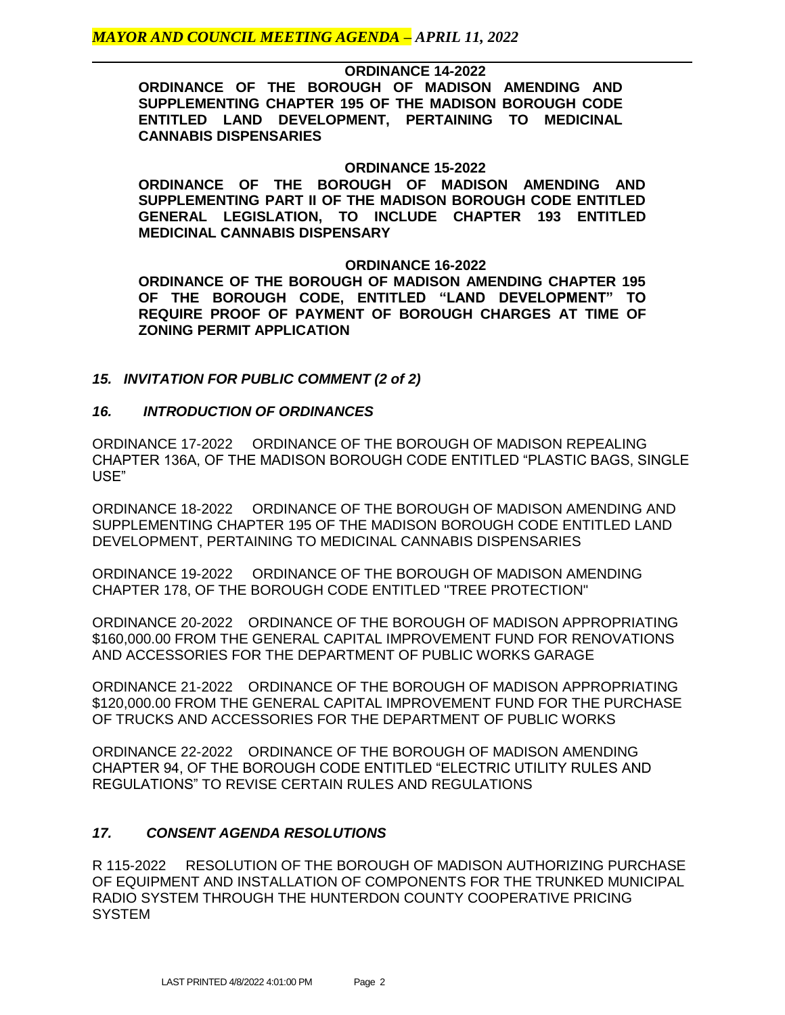## **ORDINANCE 14-2022**

**ORDINANCE OF THE BOROUGH OF MADISON AMENDING AND SUPPLEMENTING CHAPTER 195 OF THE MADISON BOROUGH CODE ENTITLED LAND DEVELOPMENT, PERTAINING TO MEDICINAL CANNABIS DISPENSARIES**

## **ORDINANCE 15-2022**

**ORDINANCE OF THE BOROUGH OF MADISON AMENDING AND SUPPLEMENTING PART II OF THE MADISON BOROUGH CODE ENTITLED GENERAL LEGISLATION, TO INCLUDE CHAPTER 193 ENTITLED MEDICINAL CANNABIS DISPENSARY**

#### **ORDINANCE 16-2022**

**ORDINANCE OF THE BOROUGH OF MADISON AMENDING CHAPTER 195 OF THE BOROUGH CODE, ENTITLED "LAND DEVELOPMENT" TO REQUIRE PROOF OF PAYMENT OF BOROUGH CHARGES AT TIME OF ZONING PERMIT APPLICATION**

## *15. INVITATION FOR PUBLIC COMMENT (2 of 2)*

## *16. INTRODUCTION OF ORDINANCES*

ORDINANCE 17-2022 ORDINANCE OF THE BOROUGH OF MADISON REPEALING CHAPTER 136A, OF THE MADISON BOROUGH CODE ENTITLED "PLASTIC BAGS, SINGLE USE"

ORDINANCE 18-2022 ORDINANCE OF THE BOROUGH OF MADISON AMENDING AND SUPPLEMENTING CHAPTER 195 OF THE MADISON BOROUGH CODE ENTITLED LAND DEVELOPMENT, PERTAINING TO MEDICINAL CANNABIS DISPENSARIES

ORDINANCE 19-2022 ORDINANCE OF THE BOROUGH OF MADISON AMENDING CHAPTER 178, OF THE BOROUGH CODE ENTITLED "TREE PROTECTION"

ORDINANCE 20-2022 ORDINANCE OF THE BOROUGH OF MADISON APPROPRIATING \$160,000.00 FROM THE GENERAL CAPITAL IMPROVEMENT FUND FOR RENOVATIONS AND ACCESSORIES FOR THE DEPARTMENT OF PUBLIC WORKS GARAGE

ORDINANCE 21-2022 ORDINANCE OF THE BOROUGH OF MADISON APPROPRIATING \$120,000.00 FROM THE GENERAL CAPITAL IMPROVEMENT FUND FOR THE PURCHASE OF TRUCKS AND ACCESSORIES FOR THE DEPARTMENT OF PUBLIC WORKS

ORDINANCE 22-2022 ORDINANCE OF THE BOROUGH OF MADISON AMENDING CHAPTER 94, OF THE BOROUGH CODE ENTITLED "ELECTRIC UTILITY RULES AND REGULATIONS" TO REVISE CERTAIN RULES AND REGULATIONS

## *17. CONSENT AGENDA RESOLUTIONS*

R 115-2022 RESOLUTION OF THE BOROUGH OF MADISON AUTHORIZING PURCHASE OF EQUIPMENT AND INSTALLATION OF COMPONENTS FOR THE TRUNKED MUNICIPAL RADIO SYSTEM THROUGH THE HUNTERDON COUNTY COOPERATIVE PRICING **SYSTEM**